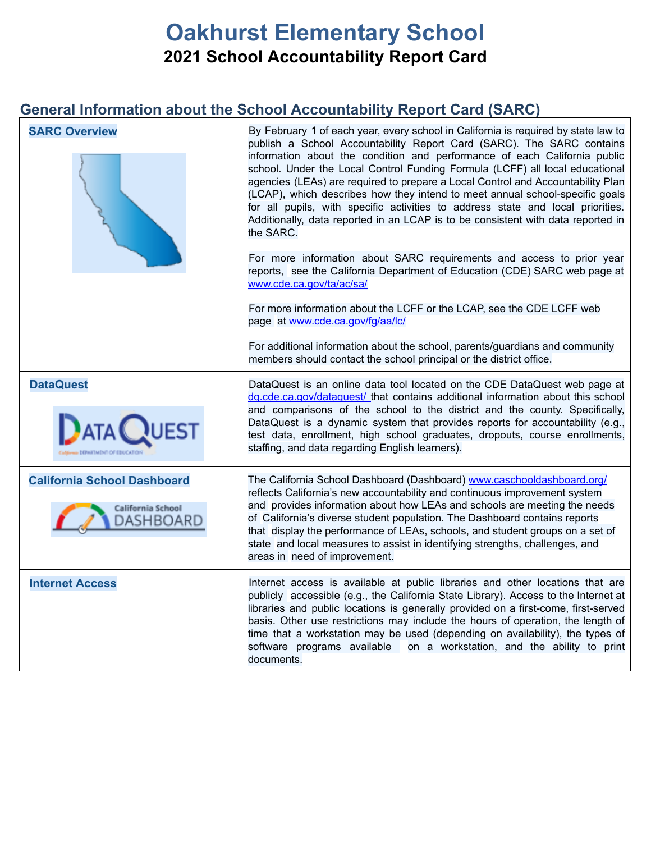# **Oakhurst Elementary School 2021 School Accountability Report Card**

## **General Information about the School Accountability Report Card (SARC)**

| <b>SARC Overview</b>               | By February 1 of each year, every school in California is required by state law to<br>publish a School Accountability Report Card (SARC). The SARC contains<br>information about the condition and performance of each California public<br>school. Under the Local Control Funding Formula (LCFF) all local educational<br>agencies (LEAs) are required to prepare a Local Control and Accountability Plan<br>(LCAP), which describes how they intend to meet annual school-specific goals<br>for all pupils, with specific activities to address state and local priorities.<br>Additionally, data reported in an LCAP is to be consistent with data reported in<br>the SARC.<br>For more information about SARC requirements and access to prior year<br>reports, see the California Department of Education (CDE) SARC web page at<br>www.cde.ca.gov/ta/ac/sa/<br>For more information about the LCFF or the LCAP, see the CDE LCFF web<br>page at www.cde.ca.gov/fg/aa/lc/<br>For additional information about the school, parents/guardians and community<br>members should contact the school principal or the district office. |
|------------------------------------|----------------------------------------------------------------------------------------------------------------------------------------------------------------------------------------------------------------------------------------------------------------------------------------------------------------------------------------------------------------------------------------------------------------------------------------------------------------------------------------------------------------------------------------------------------------------------------------------------------------------------------------------------------------------------------------------------------------------------------------------------------------------------------------------------------------------------------------------------------------------------------------------------------------------------------------------------------------------------------------------------------------------------------------------------------------------------------------------------------------------------------------|
| <b>DataQuest</b>                   | DataQuest is an online data tool located on the CDE DataQuest web page at                                                                                                                                                                                                                                                                                                                                                                                                                                                                                                                                                                                                                                                                                                                                                                                                                                                                                                                                                                                                                                                              |
| <b>ATA QUEST</b>                   | dg.cde.ca.gov/dataguest/ that contains additional information about this school<br>and comparisons of the school to the district and the county. Specifically,<br>DataQuest is a dynamic system that provides reports for accountability (e.g.,<br>test data, enrollment, high school graduates, dropouts, course enrollments,<br>staffing, and data regarding English learners).                                                                                                                                                                                                                                                                                                                                                                                                                                                                                                                                                                                                                                                                                                                                                      |
| <b>California School Dashboard</b> | The California School Dashboard (Dashboard) www.caschooldashboard.org/                                                                                                                                                                                                                                                                                                                                                                                                                                                                                                                                                                                                                                                                                                                                                                                                                                                                                                                                                                                                                                                                 |
| California School<br>DASHBOARD     | reflects California's new accountability and continuous improvement system<br>and provides information about how LEAs and schools are meeting the needs<br>of California's diverse student population. The Dashboard contains reports<br>that display the performance of LEAs, schools, and student groups on a set of<br>state and local measures to assist in identifying strengths, challenges, and<br>areas in need of improvement.                                                                                                                                                                                                                                                                                                                                                                                                                                                                                                                                                                                                                                                                                                |
| <b>Internet Access</b>             | Internet access is available at public libraries and other locations that are<br>publicly accessible (e.g., the California State Library). Access to the Internet at                                                                                                                                                                                                                                                                                                                                                                                                                                                                                                                                                                                                                                                                                                                                                                                                                                                                                                                                                                   |
|                                    | libraries and public locations is generally provided on a first-come, first-served<br>basis. Other use restrictions may include the hours of operation, the length of<br>time that a workstation may be used (depending on availability), the types of<br>software programs available on a workstation, and the ability to print<br>documents.                                                                                                                                                                                                                                                                                                                                                                                                                                                                                                                                                                                                                                                                                                                                                                                         |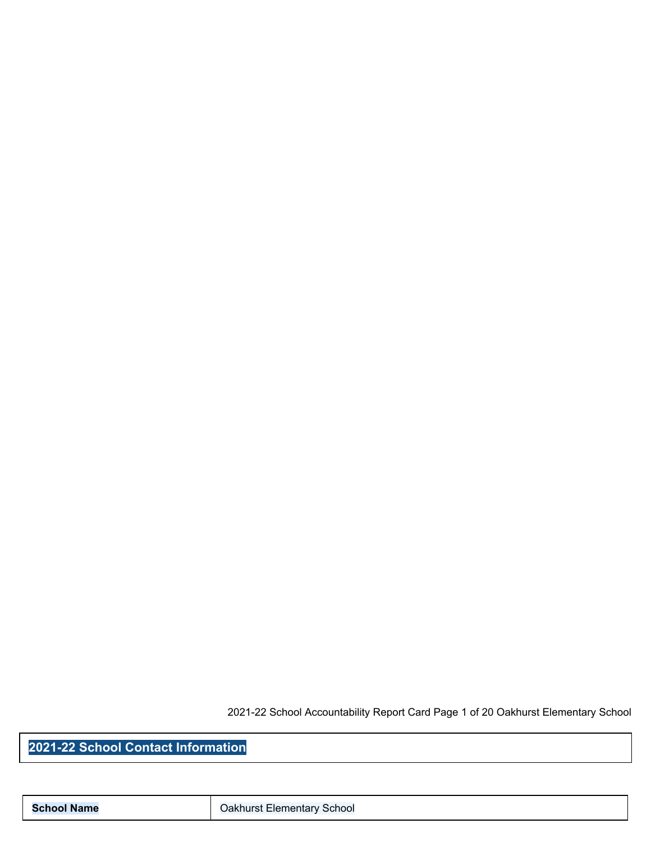2021-22 School Accountability Report Card Page 1 of 20 Oakhurst Elementary School

**2021-22 School Contact Information**

**School Name Calculate Contract Elementary School**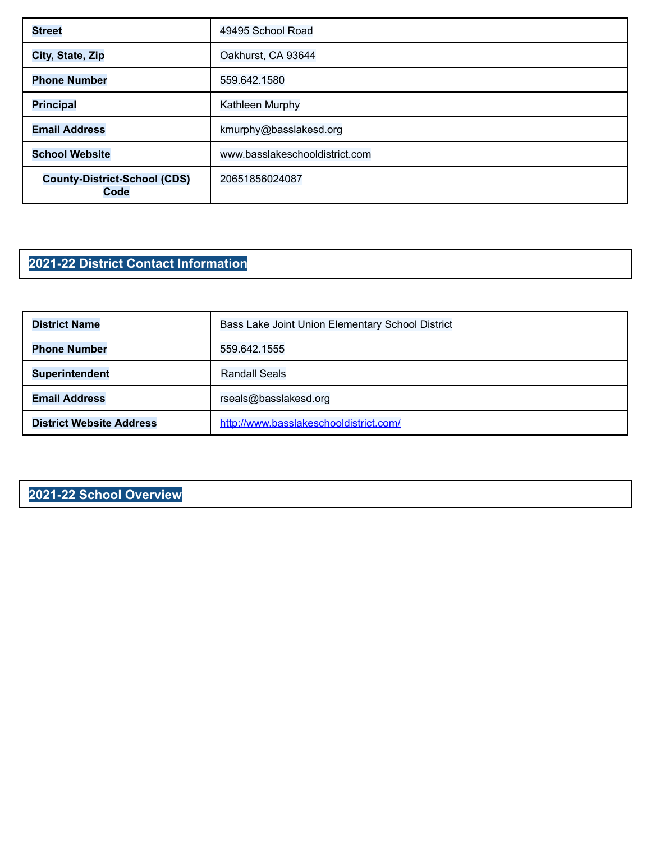| <b>Street</b>                               | 49495 School Road              |
|---------------------------------------------|--------------------------------|
| City, State, Zip                            | Oakhurst, CA 93644             |
| <b>Phone Number</b>                         | 559.642.1580                   |
| <b>Principal</b>                            | Kathleen Murphy                |
| <b>Email Address</b>                        | kmurphy@basslakesd.org         |
| <b>School Website</b>                       | www.basslakeschooldistrict.com |
| <b>County-District-School (CDS)</b><br>Code | 20651856024087                 |

## **2021-22 District Contact Information**

| <b>District Name</b>            | Bass Lake Joint Union Elementary School District |
|---------------------------------|--------------------------------------------------|
| <b>Phone Number</b>             | 559.642.1555                                     |
| <b>Superintendent</b>           | <b>Randall Seals</b>                             |
| <b>Email Address</b>            | rseals@basslakesd.org                            |
| <b>District Website Address</b> | http://www.basslakeschooldistrict.com/           |

## **2021-22 School Overview**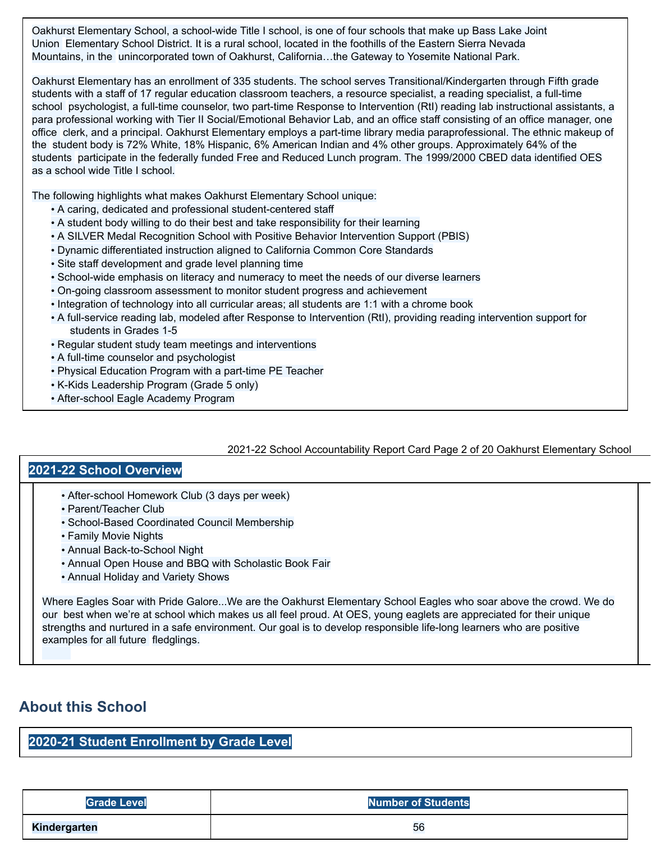Oakhurst Elementary School, a school-wide Title I school, is one of four schools that make up Bass Lake Joint Union Elementary School District. It is a rural school, located in the foothills of the Eastern Sierra Nevada Mountains, in the unincorporated town of Oakhurst, California…the Gateway to Yosemite National Park.

Oakhurst Elementary has an enrollment of 335 students. The school serves Transitional/Kindergarten through Fifth grade students with a staff of 17 regular education classroom teachers, a resource specialist, a reading specialist, a full-time school psychologist, a full-time counselor, two part-time Response to Intervention (RtI) reading lab instructional assistants, a para professional working with Tier II Social/Emotional Behavior Lab, and an office staff consisting of an office manager, one office clerk, and a principal. Oakhurst Elementary employs a part-time library media paraprofessional. The ethnic makeup of the student body is 72% White, 18% Hispanic, 6% American Indian and 4% other groups. Approximately 64% of the students participate in the federally funded Free and Reduced Lunch program. The 1999/2000 CBED data identified OES as a school wide Title I school.

The following highlights what makes Oakhurst Elementary School unique:

- A caring, dedicated and professional student-centered staff
- A student body willing to do their best and take responsibility for their learning
- A SILVER Medal Recognition School with Positive Behavior Intervention Support (PBIS)
- Dynamic differentiated instruction aligned to California Common Core Standards
- Site staff development and grade level planning time
- School-wide emphasis on literacy and numeracy to meet the needs of our diverse learners
- On-going classroom assessment to monitor student progress and achievement
- Integration of technology into all curricular areas; all students are 1:1 with a chrome book
- A full-service reading lab, modeled after Response to Intervention (RtI), providing reading intervention support for students in Grades 1-5
- Regular student study team meetings and interventions
- A full-time counselor and psychologist
- Physical Education Program with a part-time PE Teacher
- K-Kids Leadership Program (Grade 5 only)
- After-school Eagle Academy Program

#### 2021-22 School Accountability Report Card Page 2 of 20 Oakhurst Elementary School

#### **2021-22 School Overview**

- After-school Homework Club (3 days per week)
- Parent/Teacher Club
- School-Based Coordinated Council Membership
- Family Movie Nights
- Annual Back-to-School Night
- Annual Open House and BBQ with Scholastic Book Fair
- Annual Holiday and Variety Shows

Where Eagles Soar with Pride Galore...We are the Oakhurst Elementary School Eagles who soar above the crowd. We do our best when we're at school which makes us all feel proud. At OES, young eaglets are appreciated for their unique strengths and nurtured in a safe environment. Our goal is to develop responsible life-long learners who are positive examples for all future fledglings.

## **About this School**

#### **2020-21 Student Enrollment by Grade Level**

| <b>Grade Level</b>  | <b>Number of Students</b> |
|---------------------|---------------------------|
| <b>Kindergarten</b> | 56                        |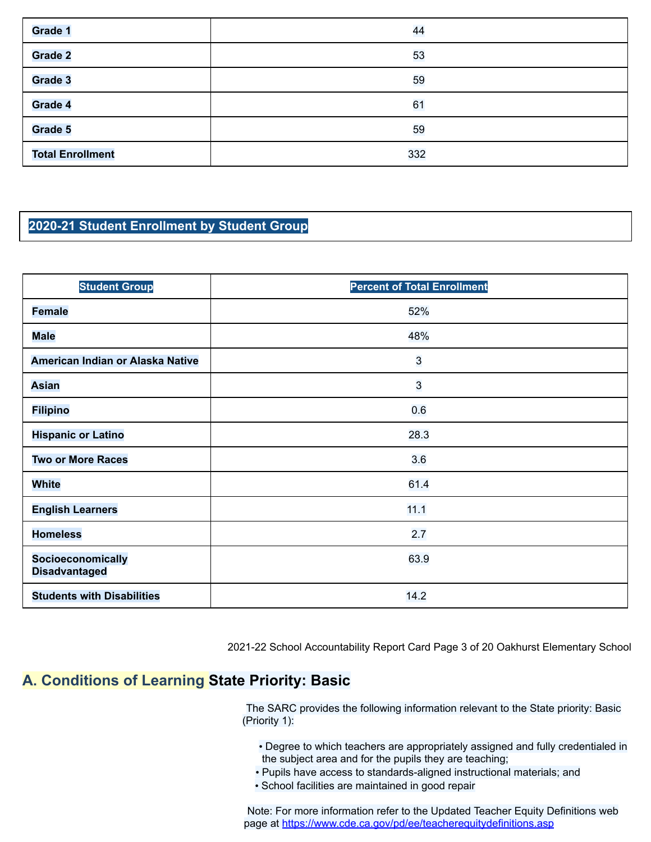| Grade 1                 | 44  |
|-------------------------|-----|
| Grade 2                 | 53  |
| Grade 3                 | 59  |
| Grade 4                 | 61  |
| Grade 5                 | 59  |
| <b>Total Enrollment</b> | 332 |

### **2020-21 Student Enrollment by Student Group**

| <b>Student Group</b>                      | <b>Percent of Total Enrollment</b> |
|-------------------------------------------|------------------------------------|
| <b>Female</b>                             | 52%                                |
| <b>Male</b>                               | 48%                                |
| American Indian or Alaska Native          | 3                                  |
| <b>Asian</b>                              | $\overline{3}$                     |
| <b>Filipino</b>                           | 0.6                                |
| <b>Hispanic or Latino</b>                 | 28.3                               |
| <b>Two or More Races</b>                  | 3.6                                |
| <b>White</b>                              | 61.4                               |
| <b>English Learners</b>                   | 11.1                               |
| <b>Homeless</b>                           | 2.7                                |
| Socioeconomically<br><b>Disadvantaged</b> | 63.9                               |
| <b>Students with Disabilities</b>         | 14.2                               |

2021-22 School Accountability Report Card Page 3 of 20 Oakhurst Elementary School

## **A. Conditions of Learning State Priority: Basic**

The SARC provides the following information relevant to the State priority: Basic (Priority 1):

- Degree to which teachers are appropriately assigned and fully credentialed in the subject area and for the pupils they are teaching;
- Pupils have access to standards-aligned instructional materials; and
- School facilities are maintained in good repair

Note: For more information refer to the Updated Teacher Equity Definitions web page at https://www.cde.ca.gov/pd/ee/teacherequitydefinitions.asp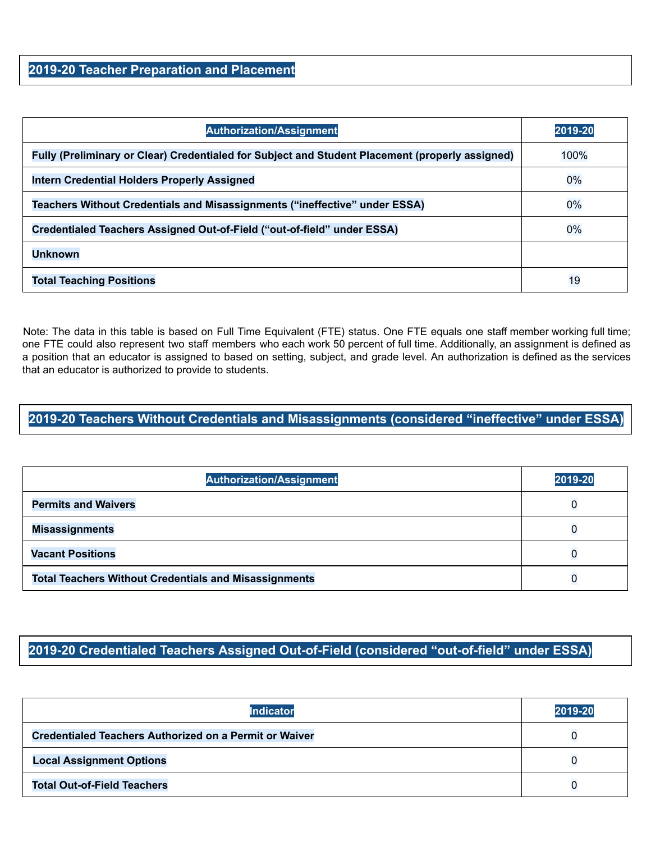#### **2019-20 Teacher Preparation and Placement**

| <b>Authorization/Assignment</b>                                                                 | 2019-20 |
|-------------------------------------------------------------------------------------------------|---------|
| Fully (Preliminary or Clear) Credentialed for Subject and Student Placement (properly assigned) | 100%    |
| <b>Intern Credential Holders Properly Assigned</b>                                              | $0\%$   |
| Teachers Without Credentials and Misassignments ("ineffective" under ESSA)                      | $0\%$   |
| Credentialed Teachers Assigned Out-of-Field ("out-of-field" under ESSA)                         | $0\%$   |
| <b>Unknown</b>                                                                                  |         |
| <b>Total Teaching Positions</b>                                                                 | 19      |

Note: The data in this table is based on Full Time Equivalent (FTE) status. One FTE equals one staff member working full time; one FTE could also represent two staff members who each work 50 percent of full time. Additionally, an assignment is defined as a position that an educator is assigned to based on setting, subject, and grade level. An authorization is defined as the services that an educator is authorized to provide to students.

#### **2019-20 Teachers Without Credentials and Misassignments (considered "ineffective" under ESSA)**

| <b>Authorization/Assignment</b>                              | 2019-20 |
|--------------------------------------------------------------|---------|
| <b>Permits and Waivers</b>                                   |         |
| <b>Misassignments</b>                                        |         |
| <b>Vacant Positions</b>                                      |         |
| <b>Total Teachers Without Credentials and Misassignments</b> |         |

#### **2019-20 Credentialed Teachers Assigned Out-of-Field (considered "out-of-field" under ESSA)**

| <b>Indicator</b>                                              | 2019-20 |
|---------------------------------------------------------------|---------|
| <b>Credentialed Teachers Authorized on a Permit or Waiver</b> |         |
| <b>Local Assignment Options</b>                               |         |
| <b>Total Out-of-Field Teachers</b>                            |         |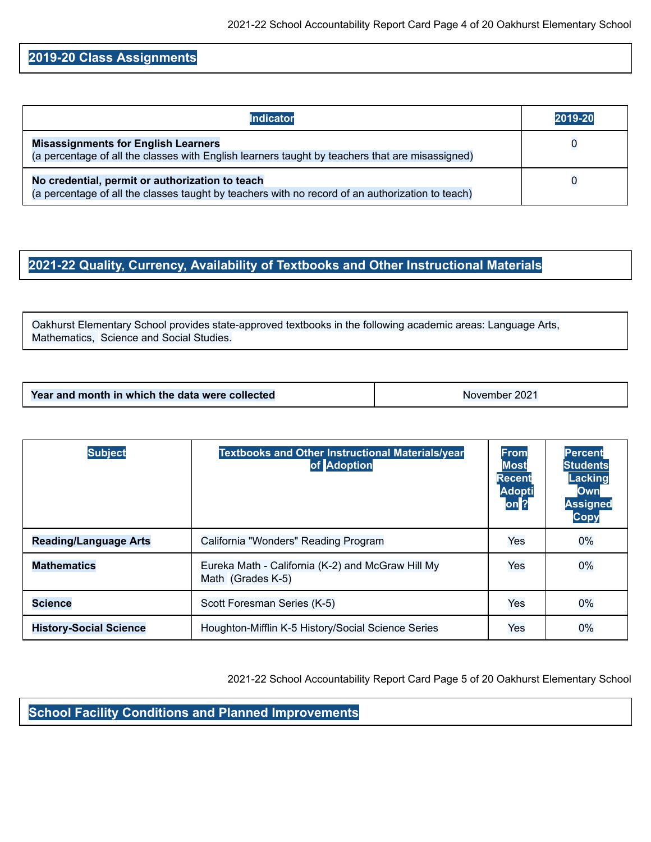#### **2019-20 Class Assignments**

| <b>Indicator</b>                                                                                                                                    | 2019-20 |
|-----------------------------------------------------------------------------------------------------------------------------------------------------|---------|
| <b>Misassignments for English Learners</b><br>(a percentage of all the classes with English learners taught by teachers that are misassigned)       |         |
| No credential, permit or authorization to teach<br>(a percentage of all the classes taught by teachers with no record of an authorization to teach) |         |

#### **2021-22 Quality, Currency, Availability of Textbooks and Other Instructional Materials**

Oakhurst Elementary School provides state-approved textbooks in the following academic areas: Language Arts, Mathematics, Science and Social Studies.

| Year and month in which the data were collected | November 2021 |
|-------------------------------------------------|---------------|

| <b>Subject</b>                | <b>Textbooks and Other Instructional Materials/year</b><br>of Adoption | <b>From</b><br><b>Most</b><br><b>Recent</b><br><b>Adopti</b><br>on <sup>2</sup> | <b>Percent</b><br><b>Students</b><br>Lacking<br><b>Own</b><br><b>Assigned</b><br><b>Copy</b> |
|-------------------------------|------------------------------------------------------------------------|---------------------------------------------------------------------------------|----------------------------------------------------------------------------------------------|
| <b>Reading/Language Arts</b>  | California "Wonders" Reading Program                                   | Yes                                                                             | 0%                                                                                           |
| <b>Mathematics</b>            | Eureka Math - California (K-2) and McGraw Hill My<br>Math (Grades K-5) | Yes                                                                             | $0\%$                                                                                        |
| <b>Science</b>                | Scott Foresman Series (K-5)                                            | Yes                                                                             | $0\%$                                                                                        |
| <b>History-Social Science</b> | Houghton-Mifflin K-5 History/Social Science Series                     | Yes                                                                             | $0\%$                                                                                        |

2021-22 School Accountability Report Card Page 5 of 20 Oakhurst Elementary School

**School Facility Conditions and Planned Improvements**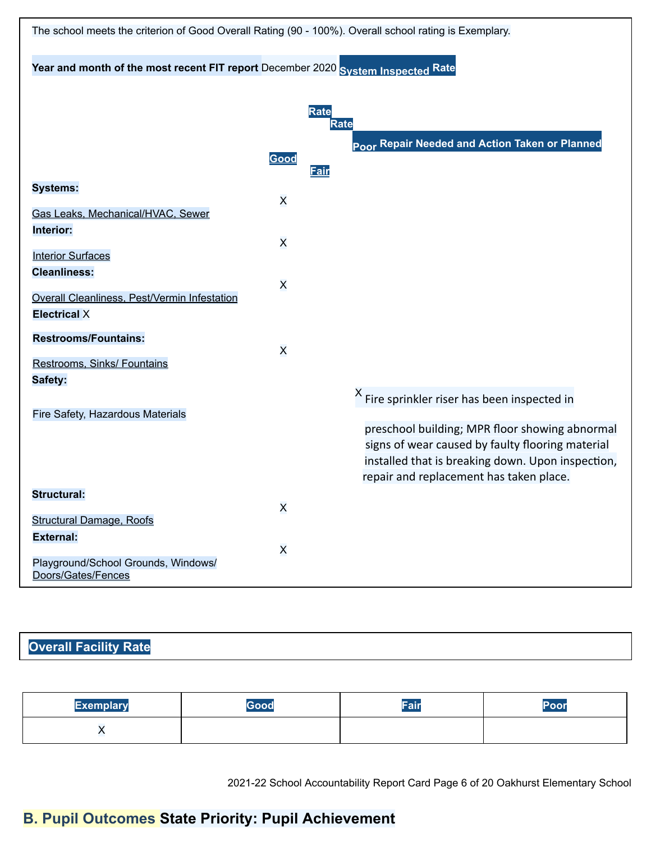| The school meets the criterion of Good Overall Rating (90 - 100%). Overall school rating is Exemplary. |                         |                            |                                                                                                                                                                                                    |
|--------------------------------------------------------------------------------------------------------|-------------------------|----------------------------|----------------------------------------------------------------------------------------------------------------------------------------------------------------------------------------------------|
| Year and month of the most recent FIT report December 2020 System Inspected Rate                       |                         |                            |                                                                                                                                                                                                    |
|                                                                                                        |                         |                            |                                                                                                                                                                                                    |
|                                                                                                        |                         | <b>Rate</b><br><b>Rate</b> |                                                                                                                                                                                                    |
|                                                                                                        | Good                    | Fair                       | Poor Repair Needed and Action Taken or Planned                                                                                                                                                     |
| <b>Systems:</b>                                                                                        | $\overline{\mathsf{x}}$ |                            |                                                                                                                                                                                                    |
| Gas Leaks, Mechanical/HVAC, Sewer<br>Interior:                                                         |                         |                            |                                                                                                                                                                                                    |
| <b>Interior Surfaces</b>                                                                               | $\overline{\mathsf{x}}$ |                            |                                                                                                                                                                                                    |
| <b>Cleanliness:</b><br>Overall Cleanliness, Pest/Vermin Infestation                                    | $\overline{\mathsf{x}}$ |                            |                                                                                                                                                                                                    |
| <b>Electrical X</b>                                                                                    |                         |                            |                                                                                                                                                                                                    |
| <b>Restrooms/Fountains:</b>                                                                            | $\overline{\mathsf{x}}$ |                            |                                                                                                                                                                                                    |
| Restrooms, Sinks/ Fountains<br>Safety:                                                                 |                         |                            |                                                                                                                                                                                                    |
| Fire Safety, Hazardous Materials                                                                       |                         |                            | <sup>X</sup> Fire sprinkler riser has been inspected in                                                                                                                                            |
|                                                                                                        |                         |                            | preschool building; MPR floor showing abnormal<br>signs of wear caused by faulty flooring material<br>installed that is breaking down. Upon inspection,<br>repair and replacement has taken place. |
| <b>Structural:</b>                                                                                     | $\overline{\mathsf{x}}$ |                            |                                                                                                                                                                                                    |
| <b>Structural Damage, Roofs</b><br><b>External:</b>                                                    |                         |                            |                                                                                                                                                                                                    |
| Playground/School Grounds, Windows/<br>Doors/Gates/Fences                                              | $\mathsf{x}$            |                            |                                                                                                                                                                                                    |

## **Overall Facility Rate**

| <b>Exemplary</b> | Good | Zещи | Poor |
|------------------|------|------|------|
| .,               |      |      |      |

2021-22 School Accountability Report Card Page 6 of 20 Oakhurst Elementary School

# **B. Pupil Outcomes State Priority: Pupil Achievement**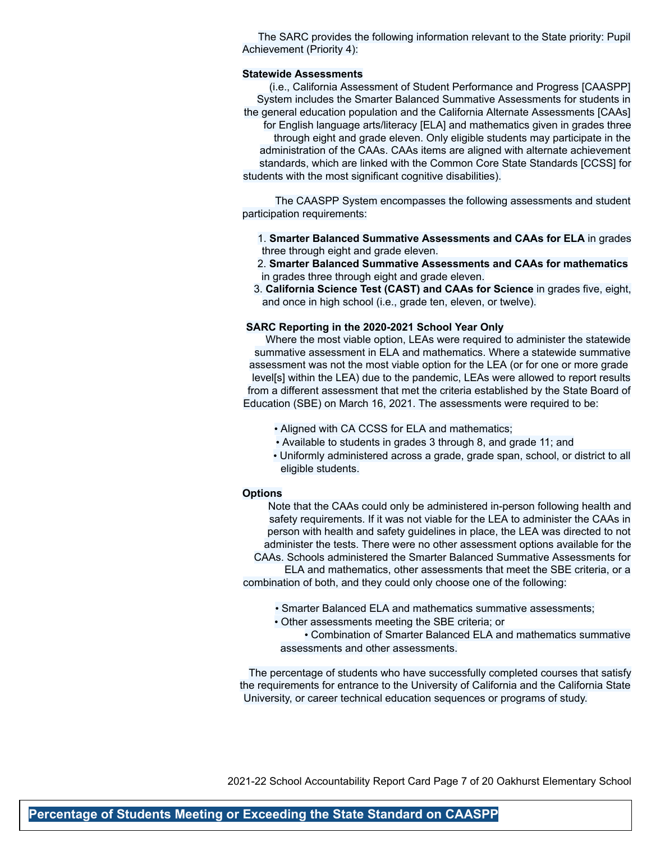The SARC provides the following information relevant to the State priority: Pupil Achievement (Priority 4):

#### **Statewide Assessments**

(i.e., California Assessment of Student Performance and Progress [CAASPP] System includes the Smarter Balanced Summative Assessments for students in the general education population and the California Alternate Assessments [CAAs] for English language arts/literacy [ELA] and mathematics given in grades three through eight and grade eleven. Only eligible students may participate in the administration of the CAAs. CAAs items are aligned with alternate achievement standards, which are linked with the Common Core State Standards [CCSS] for students with the most significant cognitive disabilities).

The CAASPP System encompasses the following assessments and student participation requirements:

- 1. **Smarter Balanced Summative Assessments and CAAs for ELA** in grades three through eight and grade eleven.
- 2. **Smarter Balanced Summative Assessments and CAAs for mathematics** in grades three through eight and grade eleven.
- 3. **California Science Test (CAST) and CAAs for Science** in grades five, eight, and once in high school (i.e., grade ten, eleven, or twelve).

#### **SARC Reporting in the 2020-2021 School Year Only**

Where the most viable option, LEAs were required to administer the statewide summative assessment in ELA and mathematics. Where a statewide summative assessment was not the most viable option for the LEA (or for one or more grade level[s] within the LEA) due to the pandemic, LEAs were allowed to report results from a different assessment that met the criteria established by the State Board of Education (SBE) on March 16, 2021. The assessments were required to be:

- Aligned with CA CCSS for ELA and mathematics;
- Available to students in grades 3 through 8, and grade 11; and
- Uniformly administered across a grade, grade span, school, or district to all eligible students.

#### **Options**

Note that the CAAs could only be administered in-person following health and safety requirements. If it was not viable for the LEA to administer the CAAs in person with health and safety guidelines in place, the LEA was directed to not administer the tests. There were no other assessment options available for the

CAAs. Schools administered the Smarter Balanced Summative Assessments for ELA and mathematics, other assessments that meet the SBE criteria, or a combination of both, and they could only choose one of the following:

- Smarter Balanced ELA and mathematics summative assessments;
- Other assessments meeting the SBE criteria; or

• Combination of Smarter Balanced ELA and mathematics summative assessments and other assessments.

The percentage of students who have successfully completed courses that satisfy the requirements for entrance to the University of California and the California State University, or career technical education sequences or programs of study.

2021-22 School Accountability Report Card Page 7 of 20 Oakhurst Elementary School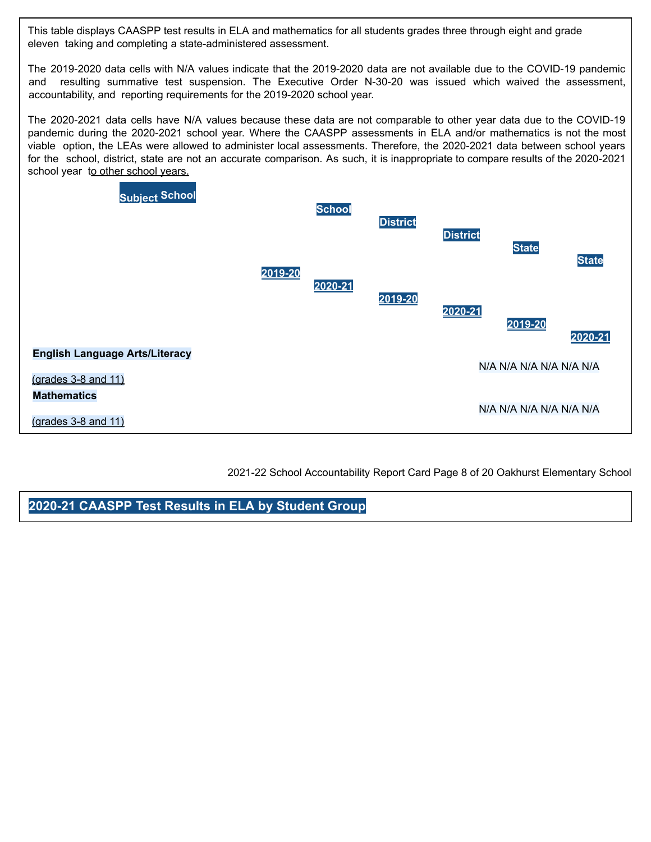This table displays CAASPP test results in ELA and mathematics for all students grades three through eight and grade eleven taking and completing a state-administered assessment.

The 2019-2020 data cells with N/A values indicate that the 2019-2020 data are not available due to the COVID-19 pandemic and resulting summative test suspension. The Executive Order N-30-20 was issued which waived the assessment, accountability, and reporting requirements for the 2019-2020 school year.

The 2020-2021 data cells have N/A values because these data are not comparable to other year data due to the COVID-19 pandemic during the 2020-2021 school year. Where the CAASPP assessments in ELA and/or mathematics is not the most viable option, the LEAs were allowed to administer local assessments. Therefore, the 2020-2021 data between school years for the school, district, state are not an accurate comparison. As such, it is inappropriate to compare results of the 2020-2021 school year to other school years.



2021-22 School Accountability Report Card Page 8 of 20 Oakhurst Elementary School

**2020-21 CAASPP Test Results in ELA by Student Group**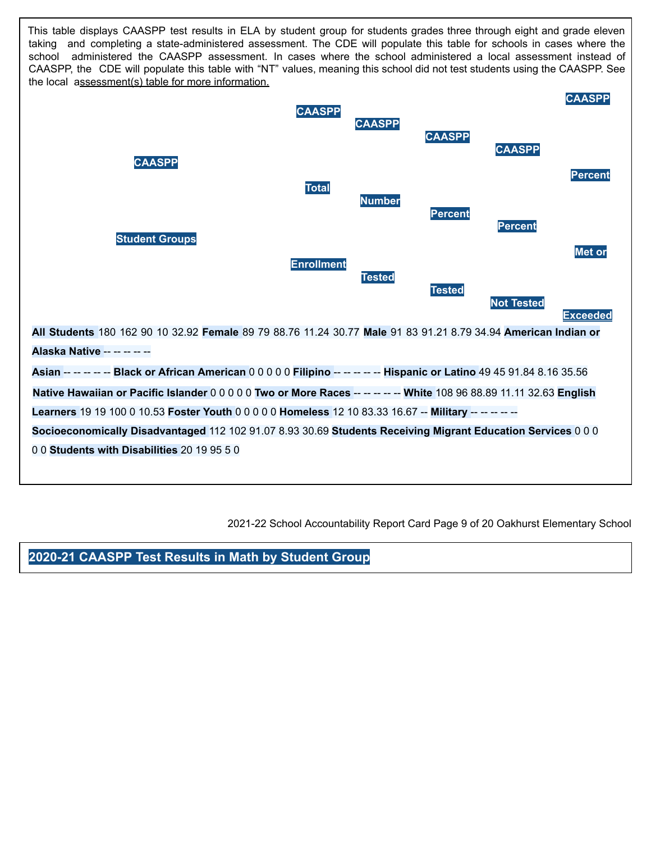This table displays CAASPP test results in ELA by student group for students grades three through eight and grade eleven taking and completing a state-administered assessment. The CDE will populate this table for schools in cases where the school administered the CAASPP assessment. In cases where the school administered a local assessment instead of CAASPP, the CDE will populate this table with "NT" values, meaning this school did not test students using the CAASPP. See the local assessment(s) table for more information.



2021-22 School Accountability Report Card Page 9 of 20 Oakhurst Elementary School

**2020-21 CAASPP Test Results in Math by Student Group**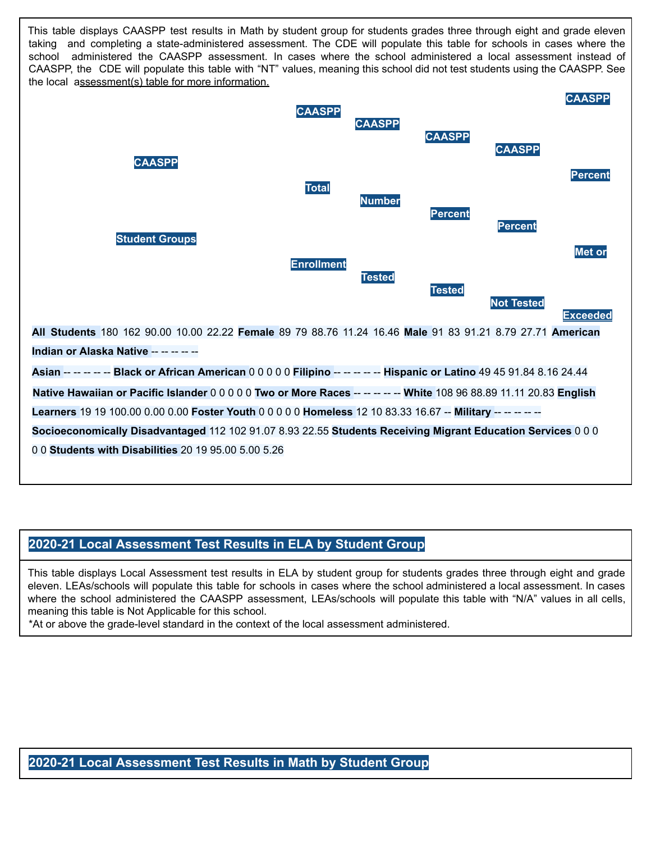This table displays CAASPP test results in Math by student group for students grades three through eight and grade eleven taking and completing a state-administered assessment. The CDE will populate this table for schools in cases where the school administered the CAASPP assessment. In cases where the school administered a local assessment instead of CAASPP, the CDE will populate this table with "NT" values, meaning this school did not test students using the CAASPP. See the local assessment(s) table for more information.



#### **2020-21 Local Assessment Test Results in ELA by Student Group**

This table displays Local Assessment test results in ELA by student group for students grades three through eight and grade eleven. LEAs/schools will populate this table for schools in cases where the school administered a local assessment. In cases where the school administered the CAASPP assessment, LEAs/schools will populate this table with "N/A" values in all cells, meaning this table is Not Applicable for this school.

\*At or above the grade-level standard in the context of the local assessment administered.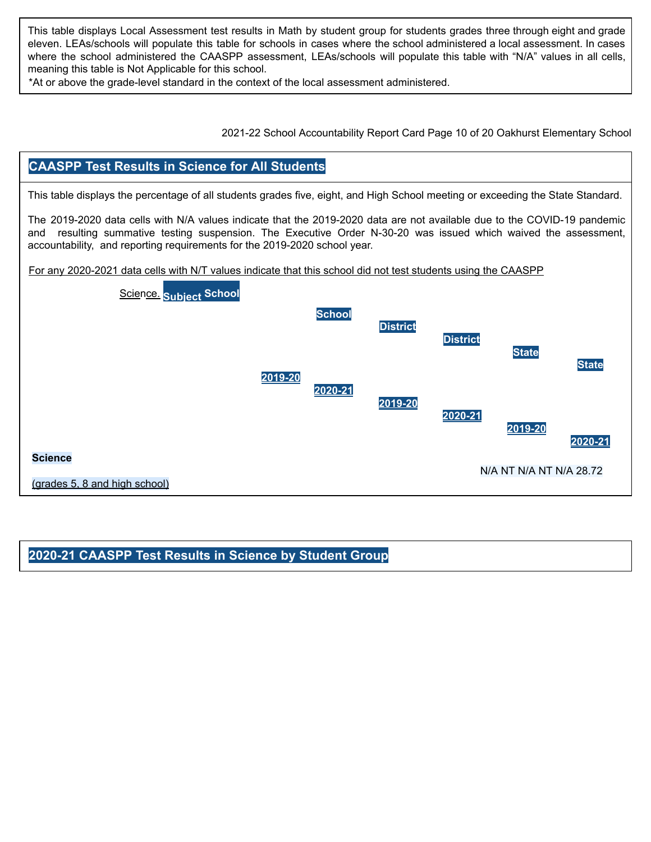This table displays Local Assessment test results in Math by student group for students grades three through eight and grade eleven. LEAs/schools will populate this table for schools in cases where the school administered a local assessment. In cases where the school administered the CAASPP assessment, LEAs/schools will populate this table with "N/A" values in all cells, meaning this table is Not Applicable for this school.

\*At or above the grade-level standard in the context of the local assessment administered.

2021-22 School Accountability Report Card Page 10 of 20 Oakhurst Elementary School

#### **CAASPP Test Results in Science for All Students**

This table displays the percentage of all students grades five, eight, and High School meeting or exceeding the State Standard.

The 2019-2020 data cells with N/A values indicate that the 2019-2020 data are not available due to the COVID-19 pandemic and resulting summative testing suspension. The Executive Order N-30-20 was issued which waived the assessment, accountability, and reporting requirements for the 2019-2020 school year.

For any 2020-2021 data cells with N/T values indicate that this school did not test students using the CAASPP



#### **2020-21 CAASPP Test Results in Science by Student Group**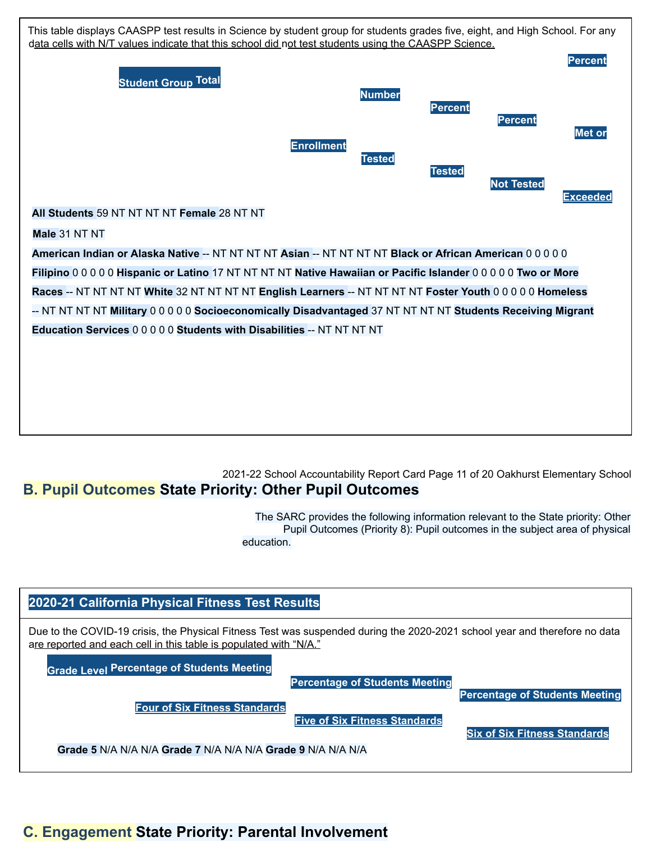

#### 2021-22 School Accountability Report Card Page 11 of 20 Oakhurst Elementary School **B. Pupil Outcomes State Priority: Other Pupil Outcomes**

The SARC provides the following information relevant to the State priority: Other Pupil Outcomes (Priority 8): Pupil outcomes in the subject area of physical education.



## **C. Engagement State Priority: Parental Involvement**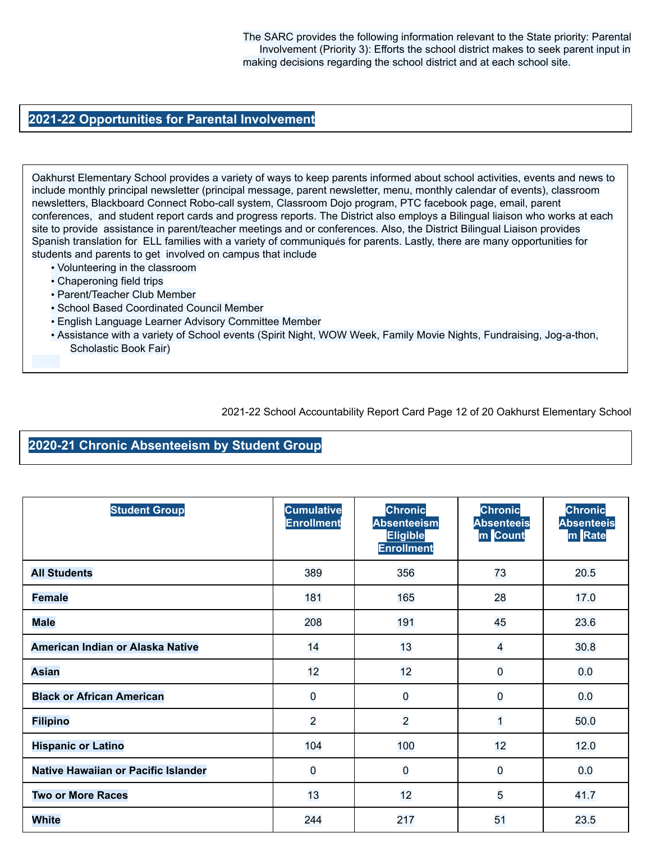The SARC provides the following information relevant to the State priority: Parental Involvement (Priority 3): Efforts the school district makes to seek parent input in making decisions regarding the school district and at each school site.

#### **2021-22 Opportunities for Parental Involvement**

Oakhurst Elementary School provides a variety of ways to keep parents informed about school activities, events and news to include monthly principal newsletter (principal message, parent newsletter, menu, monthly calendar of events), classroom newsletters, Blackboard Connect Robo-call system, Classroom Dojo program, PTC facebook page, email, parent conferences, and student report cards and progress reports. The District also employs a Bilingual liaison who works at each site to provide assistance in parent/teacher meetings and or conferences. Also, the District Bilingual Liaison provides Spanish translation for ELL families with a variety of communiqués for parents. Lastly, there are many opportunities for students and parents to get involved on campus that include

- Volunteering in the classroom
- Chaperoning field trips
- Parent/Teacher Club Member
- School Based Coordinated Council Member
- English Language Learner Advisory Committee Member
- Assistance with a variety of School events (Spirit Night, WOW Week, Family Movie Nights, Fundraising, Jog-a-thon, Scholastic Book Fair)

2021-22 School Accountability Report Card Page 12 of 20 Oakhurst Elementary School

#### **2020-21 Chronic Absenteeism by Student Group**

| <b>Student Group</b>                | <b>Cumulative</b><br><b>Enrollment</b> | <b>Chronic</b><br><b>Absenteeism</b><br><b>Eligible</b><br><b>Enrollment</b> | <b>Chronic</b><br><b>Absenteeis</b><br>m Count | <b>Chronic</b><br><b>Absenteeis</b><br>m Rate |
|-------------------------------------|----------------------------------------|------------------------------------------------------------------------------|------------------------------------------------|-----------------------------------------------|
| <b>All Students</b>                 | 389                                    | 356                                                                          | 73                                             | 20.5                                          |
| <b>Female</b>                       | 181                                    | 165                                                                          | 28                                             | 17.0                                          |
| <b>Male</b>                         | 208                                    | 191                                                                          | 45                                             | 23.6                                          |
| American Indian or Alaska Native    | 14                                     | 13                                                                           | $\overline{\mathbf{4}}$                        | 30.8                                          |
| <b>Asian</b>                        | 12                                     | 12                                                                           | $\overline{0}$                                 | 0.0                                           |
| <b>Black or African American</b>    | $\overline{0}$                         | $\overline{0}$                                                               | $\overline{0}$                                 | 0.0                                           |
| <b>Filipino</b>                     | $\overline{2}$                         | $\overline{a}$                                                               | $\overline{1}$                                 | 50.0                                          |
| <b>Hispanic or Latino</b>           | 104                                    | 100                                                                          | 12                                             | 12.0                                          |
| Native Hawaiian or Pacific Islander | $\overline{0}$                         | 0                                                                            | $\overline{0}$                                 | 0.0                                           |
| <b>Two or More Races</b>            | 13                                     | 12                                                                           | 5                                              | 41.7                                          |
| <b>White</b>                        | 244                                    | 217                                                                          | 51                                             | 23.5                                          |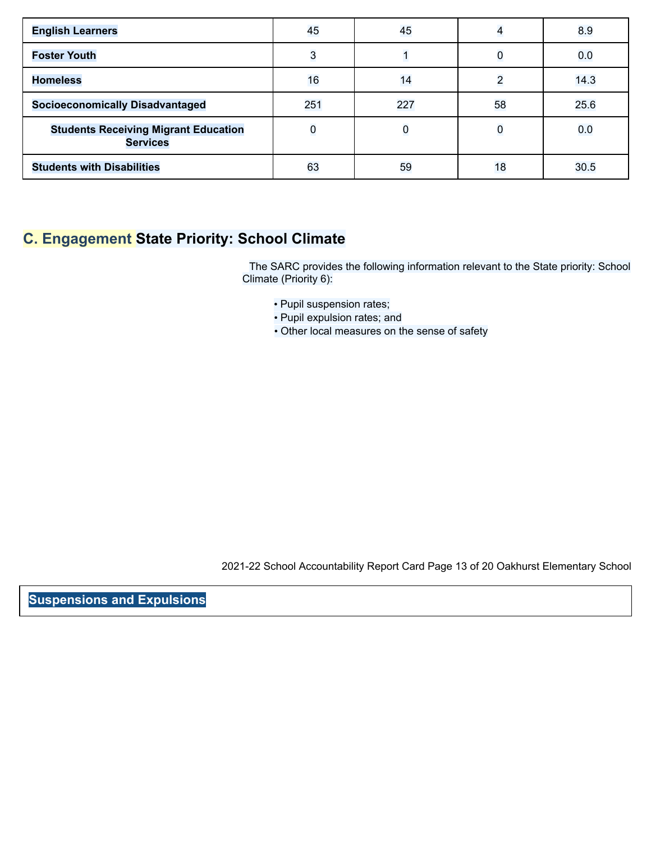| <b>English Learners</b>                                        | 45          | 45  |                | 8.9  |
|----------------------------------------------------------------|-------------|-----|----------------|------|
| <b>Foster Youth</b>                                            | 3           |     |                | 0.0  |
| <b>Homeless</b>                                                | 16          | 14  | $\overline{2}$ | 14.3 |
| <b>Socioeconomically Disadvantaged</b>                         | 251         | 227 | 58             | 25.6 |
| <b>Students Receiving Migrant Education</b><br><b>Services</b> | $\mathbf 0$ |     | $\mathbf 0$    | 0.0  |
| <b>Students with Disabilities</b>                              | 63          | 59  | 18             | 30.5 |

## **C. Engagement State Priority: School Climate**

The SARC provides the following information relevant to the State priority: School Climate (Priority 6):

- Pupil suspension rates;
- Pupil expulsion rates; and
- Other local measures on the sense of safety

2021-22 School Accountability Report Card Page 13 of 20 Oakhurst Elementary School

**Suspensions and Expulsions**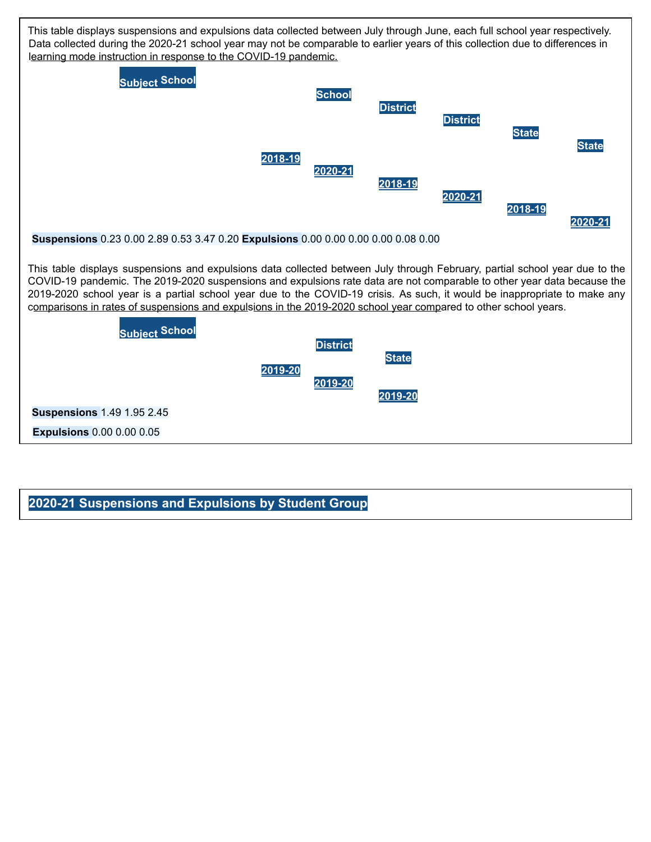

#### **2020-21 Suspensions and Expulsions by Student Group**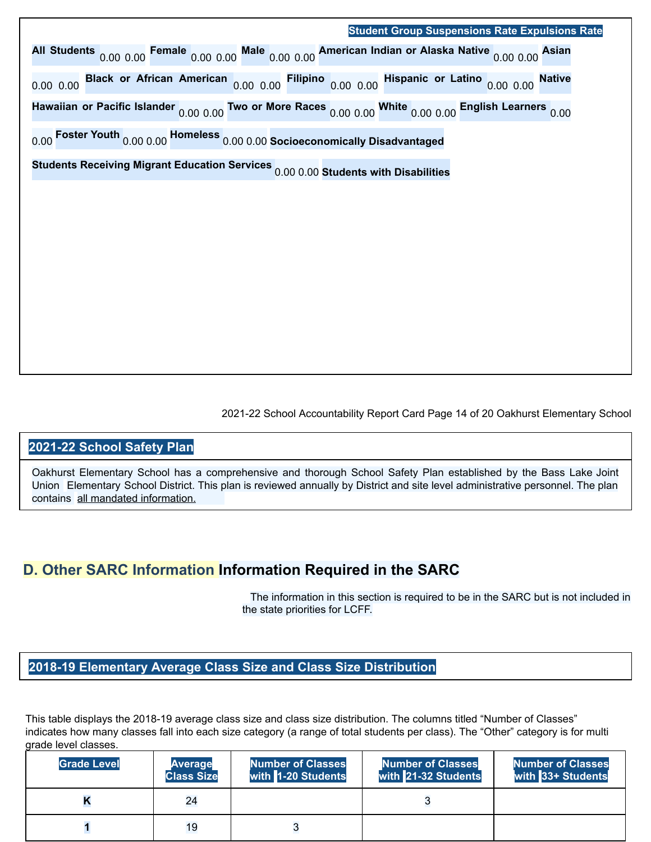## **Student Group Suspensions Rate Expulsions Rate All Students** 0.00 0.00 **Female** 0.00 0.00 **Male** 0.00 0.00 **American Indian or Alaska Native** 0.00 0.00 **Asian** 0.00 0.00 **Black or African American** 0.00 0.00 **Filipino** 0.00 0.00 **Hispanic or Latino** 0.00 0.00 **Native Hawaiian or Pacific Islander** 0.00 0.00 **Two or More Races** 0.00 0.00 **White** 0.00 0.00 **English Learners** 0.00

0.00 **Foster Youth** 0.00 0.00 **Homeless** 0.00 0.00 **Socioeconomically Disadvantaged**

**Students Receiving Migrant Education Services** 0.00 0.00 **Students with Disabilities**

2021-22 School Accountability Report Card Page 14 of 20 Oakhurst Elementary School

#### **2021-22 School Safety Plan**

Oakhurst Elementary School has a comprehensive and thorough School Safety Plan established by the Bass Lake Joint Union Elementary School District. This plan is reviewed annually by District and site level administrative personnel. The plan contains all mandated information.

## **D. Other SARC Information Information Required in the SARC**

The information in this section is required to be in the SARC but is not included in the state priorities for LCFF.

#### **2018-19 Elementary Average Class Size and Class Size Distribution**

This table displays the 2018-19 average class size and class size distribution. The columns titled "Number of Classes" indicates how many classes fall into each size category (a range of total students per class). The "Other" category is for multi grade level classes.

| <b>Grade Level</b> | Average<br><b>Class Size</b> | <b>Number of Classes</b><br>with 1-20 Students | <b>Number of Classes</b><br>with 21-32 Students | <b>Number of Classes</b><br>with 33+ Students |
|--------------------|------------------------------|------------------------------------------------|-------------------------------------------------|-----------------------------------------------|
|                    | 24                           |                                                |                                                 |                                               |
|                    | 19                           |                                                |                                                 |                                               |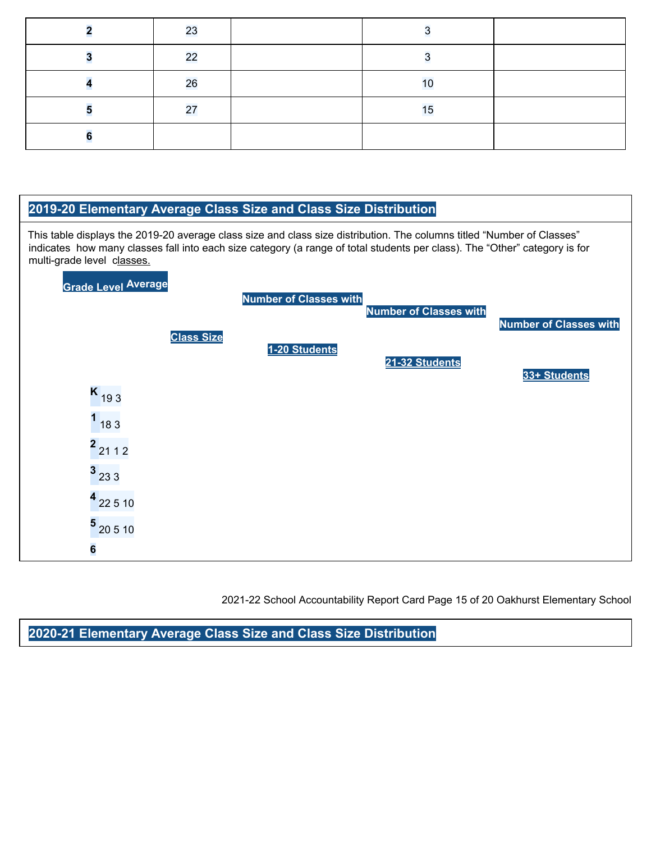| 23 |    |  |
|----|----|--|
| 22 |    |  |
| 26 | 10 |  |
| 27 | 15 |  |
|    |    |  |



2021-22 School Accountability Report Card Page 15 of 20 Oakhurst Elementary School

**2020-21 Elementary Average Class Size and Class Size Distribution**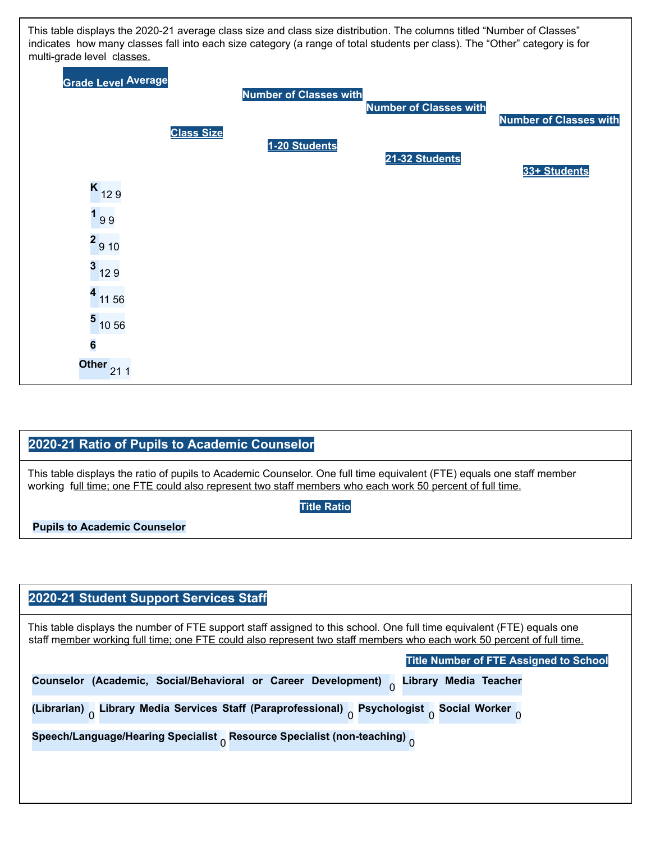

#### **2020-21 Ratio of Pupils to Academic Counselor**

This table displays the ratio of pupils to Academic Counselor. One full time equivalent (FTE) equals one staff member working full time; one FTE could also represent two staff members who each work 50 percent of full time.

**Title Ratio**

**Pupils to Academic Counselor**

#### **2020-21 Student Support Services Staff**

This table displays the number of FTE support staff assigned to this school. One full time equivalent (FTE) equals one staff member working full time; one FTE could also represent two staff members who each work 50 percent of full time.

| Counselor (Academic, Social/Behavioral or Career Development) Ulbrary Media Teacher<br>(Librarian) Universy Media Services Staff (Paraprofessional) Psychologist Social Worker<br>Speech/Language/Hearing Specialist Resource Specialist (non-teaching) $_0$ | <b>Title Number of FTE Assigned to School</b> |
|--------------------------------------------------------------------------------------------------------------------------------------------------------------------------------------------------------------------------------------------------------------|-----------------------------------------------|
|                                                                                                                                                                                                                                                              |                                               |
|                                                                                                                                                                                                                                                              |                                               |
|                                                                                                                                                                                                                                                              |                                               |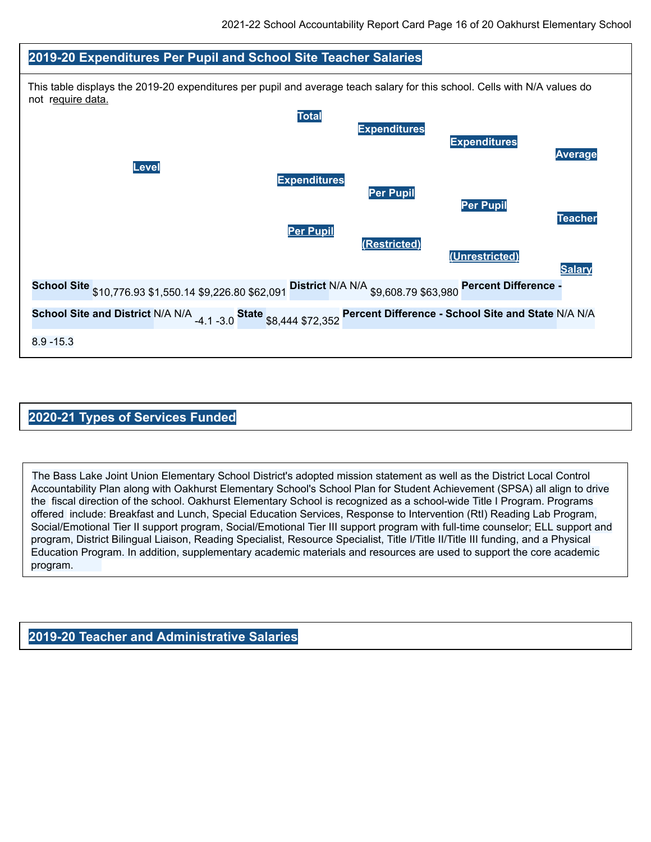

#### **2020-21 Types of Services Funded**

The Bass Lake Joint Union Elementary School District's adopted mission statement as well as the District Local Control Accountability Plan along with Oakhurst Elementary School's School Plan for Student Achievement (SPSA) all align to drive the fiscal direction of the school. Oakhurst Elementary School is recognized as a school-wide Title I Program. Programs offered include: Breakfast and Lunch, Special Education Services, Response to Intervention (RtI) Reading Lab Program, Social/Emotional Tier II support program, Social/Emotional Tier III support program with full-time counselor; ELL support and program, District Bilingual Liaison, Reading Specialist, Resource Specialist, Title I/Title II/Title III funding, and a Physical Education Program. In addition, supplementary academic materials and resources are used to support the core academic program.

**2019-20 Teacher and Administrative Salaries**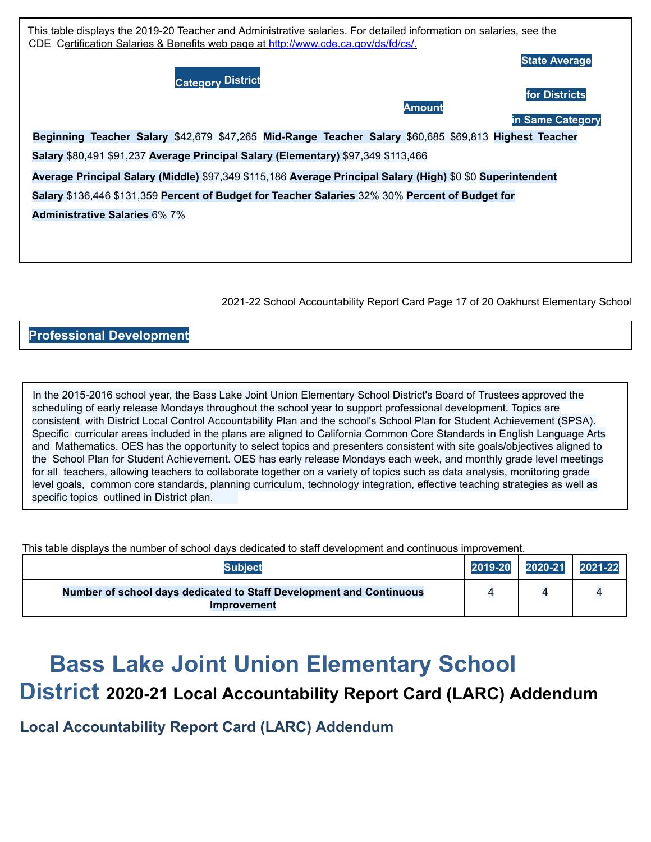

2021-22 School Accountability Report Card Page 17 of 20 Oakhurst Elementary School

#### **Professional Development**

In the 2015-2016 school year, the Bass Lake Joint Union Elementary School District's Board of Trustees approved the scheduling of early release Mondays throughout the school year to support professional development. Topics are consistent with District Local Control Accountability Plan and the school's School Plan for Student Achievement (SPSA). Specific curricular areas included in the plans are aligned to California Common Core Standards in English Language Arts and Mathematics. OES has the opportunity to select topics and presenters consistent with site goals/objectives aligned to the School Plan for Student Achievement. OES has early release Mondays each week, and monthly grade level meetings for all teachers, allowing teachers to collaborate together on a variety of topics such as data analysis, monitoring grade level goals, common core standards, planning curriculum, technology integration, effective teaching strategies as well as specific topics outlined in District plan.

This table displays the number of school days dedicated to staff development and continuous improvement.

| <b>Subject</b>                                                                                   | 2019-20 | 2020-21 | 2021-22 |
|--------------------------------------------------------------------------------------------------|---------|---------|---------|
| <b>Number of school days dedicated to Staff Development and Continuous</b><br><b>Improvement</b> |         |         |         |

# **Bass Lake Joint Union Elementary School**

# **District 2020-21 Local Accountability Report Card (LARC) Addendum**

**Local Accountability Report Card (LARC) Addendum**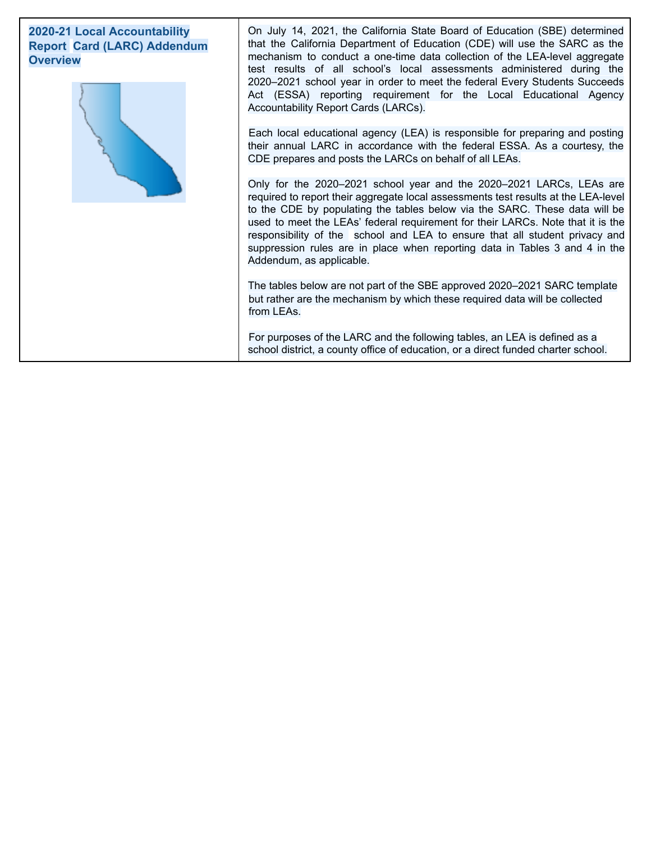#### **2020-21 Local Accountability Report Card (LARC) Addendum Overview**



On July 14, 2021, the California State Board of Education (SBE) determined that the California Department of Education (CDE) will use the SARC as the mechanism to conduct a one-time data collection of the LEA-level aggregate test results of all school's local assessments administered during the 2020–2021 school year in order to meet the federal Every Students Succeeds Act (ESSA) reporting requirement for the Local Educational Agency Accountability Report Cards (LARCs).

Each local educational agency (LEA) is responsible for preparing and posting their annual LARC in accordance with the federal ESSA. As a courtesy, the CDE prepares and posts the LARCs on behalf of all LEAs.

Only for the 2020–2021 school year and the 2020–2021 LARCs, LEAs are required to report their aggregate local assessments test results at the LEA-level to the CDE by populating the tables below via the SARC. These data will be used to meet the LEAs' federal requirement for their LARCs. Note that it is the responsibility of the school and LEA to ensure that all student privacy and suppression rules are in place when reporting data in Tables 3 and 4 in the Addendum, as applicable.

The tables below are not part of the SBE approved 2020–2021 SARC template but rather are the mechanism by which these required data will be collected from LEAs.

For purposes of the LARC and the following tables, an LEA is defined as a school district, a county office of education, or a direct funded charter school.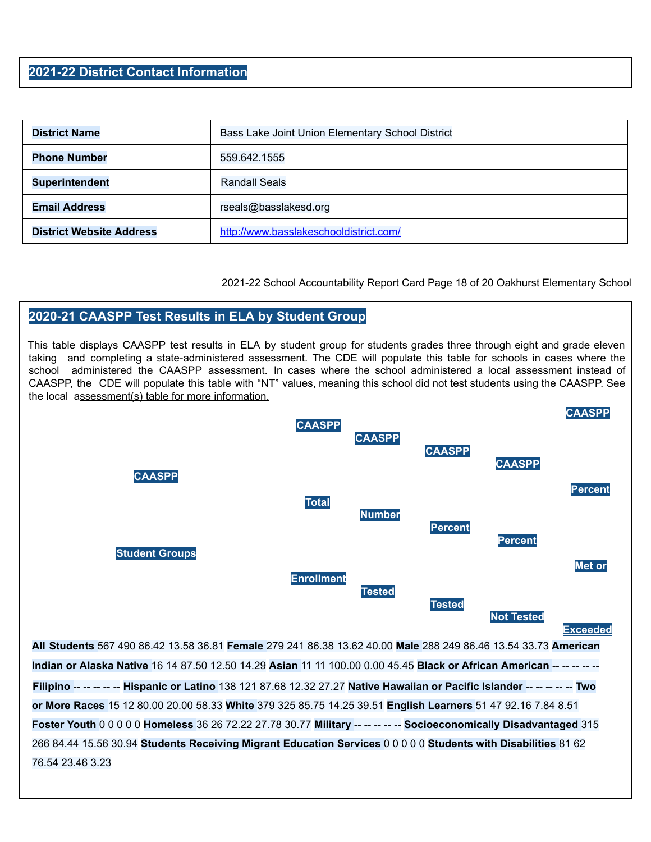#### **2021-22 District Contact Information**

| <b>District Name</b>            | Bass Lake Joint Union Elementary School District |
|---------------------------------|--------------------------------------------------|
| <b>Phone Number</b>             | 559.642.1555                                     |
| <b>Superintendent</b>           | <b>Randall Seals</b>                             |
| <b>Email Address</b>            | rseals@basslakesd.org                            |
| <b>District Website Address</b> | http://www.basslakeschooldistrict.com/           |

2021-22 School Accountability Report Card Page 18 of 20 Oakhurst Elementary School

#### **2020-21 CAASPP Test Results in ELA by Student Group**

This table displays CAASPP test results in ELA by student group for students grades three through eight and grade eleven taking and completing a state-administered assessment. The CDE will populate this table for schools in cases where the school administered the CAASPP assessment. In cases where the school administered a local assessment instead of CAASPP, the CDE will populate this table with "NT" values, meaning this school did not test students using the CAASPP. See the local assessment(s) table for more information.



**Exceeded**

**All Students** 567 490 86.42 13.58 36.81 **Female** 279 241 86.38 13.62 40.00 **Male** 288 249 86.46 13.54 33.73 **American Indian or Alaska Native** 16 14 87.50 12.50 14.29 **Asian** 11 11 100.00 0.00 45.45 **Black or African American** -- -- -- -- -- **Filipino** -- -- -- -- -- **Hispanic or Latino** 138 121 87.68 12.32 27.27 **Native Hawaiian or Pacific Islander** -- -- -- -- -- **Two or More Races** 15 12 80.00 20.00 58.33 **White** 379 325 85.75 14.25 39.51 **English Learners** 51 47 92.16 7.84 8.51 **Foster Youth** 0 0 0 0 0 **Homeless** 36 26 72.22 27.78 30.77 **Military** -- -- -- -- -- **Socioeconomically Disadvantaged** 315 266 84.44 15.56 30.94 **Students Receiving Migrant Education Services** 0 0 0 0 0 **Students with Disabilities** 81 62 76.54 23.46 3.23